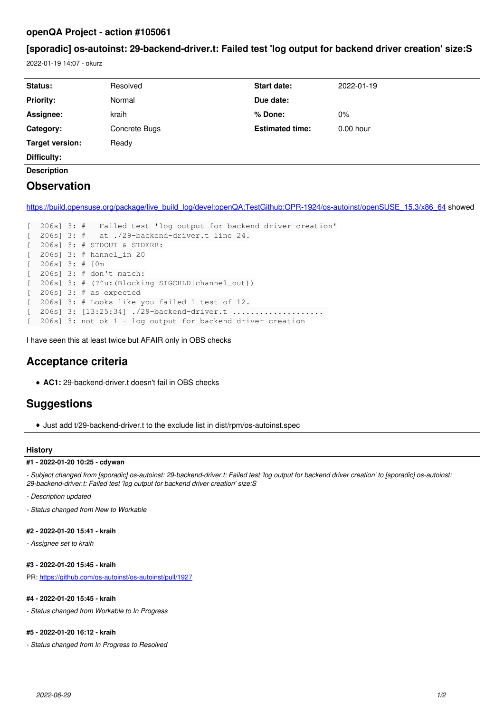## **openQA Project - action #105061**

# **[sporadic] os-autoinst: 29-backend-driver.t: Failed test 'log output for backend driver creation' size:S**

2022-01-19 14:07 - okurz

| Status:                                                                                                                    | Resolved             | Start date:            | 2022-01-19  |
|----------------------------------------------------------------------------------------------------------------------------|----------------------|------------------------|-------------|
| Priority:                                                                                                                  | Normal               | Due date:              |             |
| Assignee:                                                                                                                  | kraih                | % Done:                | $0\%$       |
| Category:                                                                                                                  | <b>Concrete Bugs</b> | <b>Estimated time:</b> | $0.00$ hour |
| <b>Target version:</b>                                                                                                     | Ready                |                        |             |
| Difficulty:                                                                                                                |                      |                        |             |
| <b>Description</b>                                                                                                         |                      |                        |             |
| <b>Observation</b>                                                                                                         |                      |                        |             |
|                                                                                                                            |                      |                        |             |
| https://build.opensuse.org/package/live_build_log/devel:openQA:TestGithub:OPR-1924/os-autoinst/openSUSE_15.3/x86_64 showed |                      |                        |             |
|                                                                                                                            |                      |                        |             |
| 206s] 3: # Failed test 'log output for backend driver creation'                                                            |                      |                        |             |
| 206s] 3: # at ./29-backend-driver.t line 24.                                                                               |                      |                        |             |
| 206s] 3: # STDOUT & STDERR:                                                                                                |                      |                        |             |
| 206s] 3: # hannel_in 20<br>$206s$ ] 3: # $[0m]$                                                                            |                      |                        |             |
| 206s] 3: # don't match:                                                                                                    |                      |                        |             |
| 206s] 3: # (?^u: (Blocking SIGCHLD channel_out))                                                                           |                      |                        |             |
| $206s$ ] 3: # as expected                                                                                                  |                      |                        |             |
| 206s] 3: # Looks like you failed 1 test of 12.                                                                             |                      |                        |             |
| 206s] 3: [13:25:34] ./29-backend-driver.t<br>L                                                                             |                      |                        |             |
| 206s] 3: not ok $1$ - log output for backend driver creation<br>L                                                          |                      |                        |             |
|                                                                                                                            |                      |                        |             |
| I have seen this at least twice but AFAIR only in OBS checks                                                               |                      |                        |             |
|                                                                                                                            |                      |                        |             |
| <b>Acceptance criteria</b>                                                                                                 |                      |                        |             |
| • AC1: 29-backend-driver.t doesn't fail in OBS checks                                                                      |                      |                        |             |
|                                                                                                                            |                      |                        |             |
| <b>Suggestions</b>                                                                                                         |                      |                        |             |
|                                                                                                                            |                      |                        |             |

#### **History**

#### **#1 - 2022-01-20 10:25 - cdywan**

*- Subject changed from [sporadic] os-autoinst: 29-backend-driver.t: Failed test 'log output for backend driver creation' to [sporadic] os-autoinst: 29-backend-driver.t: Failed test 'log output for backend driver creation' size:S*

Just add t/29-backend-driver.t to the exclude list in dist/rpm/os-autoinst.spec

*- Description updated*

*- Status changed from New to Workable*

### **#2 - 2022-01-20 15:41 - kraih**

*- Assignee set to kraih*

## **#3 - 2022-01-20 15:45 - kraih**

PR: <https://github.com/os-autoinst/os-autoinst/pull/1927>

## **#4 - 2022-01-20 15:45 - kraih**

*- Status changed from Workable to In Progress*

## **#5 - 2022-01-20 16:12 - kraih**

*- Status changed from In Progress to Resolved*